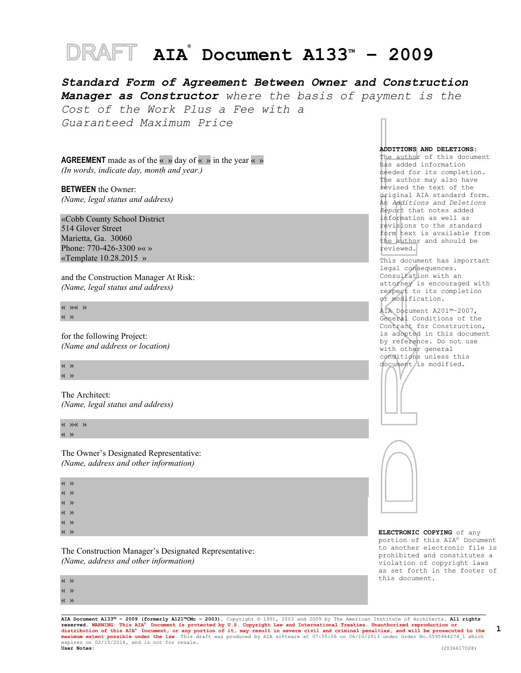# **AIA<sup>®</sup> Document A133™ - 2009**

*Standard Form of Agreement Between Owner and Construction Manager as Constructor where the basis of payment is the Cost of the Work Plus a Fee with a Guaranteed Maximum Price*

**AGREEMENT** made as of the «  $\rightarrow$  day of «  $\rightarrow$  in the year «  $\rightarrow$ *(In words, indicate day, month and year.)*

**BETWEEN** the Owner: *(Name, legal status and address)*

«Cobb County School District 514 Glover Street Marietta, Ga. 30060 Phone: 770-426-3300 »« » «Template 10.28.2015 »

and the Construction Manager At Risk: *(Name, legal status and address)*

« »« » « »

for the following Project: *(Name and address or location)*

« » « »

The Architect: *(Name, legal status and address)*

 $\langle \langle \rangle \rangle \langle \langle \rangle \rangle$ « »

The Owner's Designated Representative: *(Name, address and other information)*

« » « » « » « » « » « »

The Construction Manager's Designated Representative: *(Name, address and other information)*

« » « »

« »

**ADDITIONS AND DELETIONS:**  The author of this document

has added information needed for its completion. The author may also have revised the text of the original AIA standard form. An *Additions and Deletions Report* that notes added information as well as revisions to the standard form text is available from the author and should be reviewed.

This document has important legal consequences. Consultation with an attorney is encouraged with respect to its completion or modification.

AIA Document A201™–2007, General Conditions of the Contract for Construction, is adopted in this document by reference. Do not use with other general conditions unless this document is modified.





**ELECTRONIC COPYING** of any portion of this AIA® Document to another electronic file is prohibited and constitutes a violation of copyright laws as set forth in the footer of this document.

**AIA Document A133™ – 2009 (formerly A121™CMc – 2003).** Copyright © 1991, 2003 and 2009 by The American Institute of Architects**. All rights**  reserved. WARNING: This AIA® Document is protected by U.S. Copyright Law and International Treaties. Unauthorized reproduction or<br>distribution of this AIA® Document, or any portion of it, may result in severe civil and cri expires on 02/15/2014, and is not for resale.<br>User Notes: **User Notes:** (2036617028)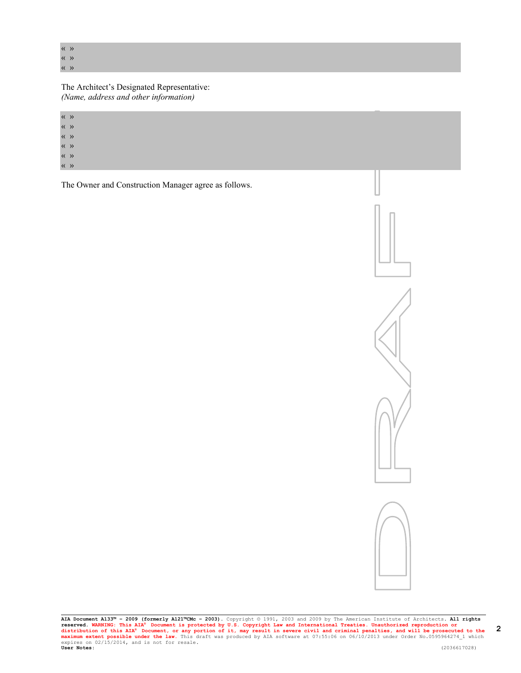« »

« » « »

The Architect's Designated Representative: *(Name, address and other information)*

« » « »

« »

« »

« »

« »

The Owner and Construction Manager agree as follows.

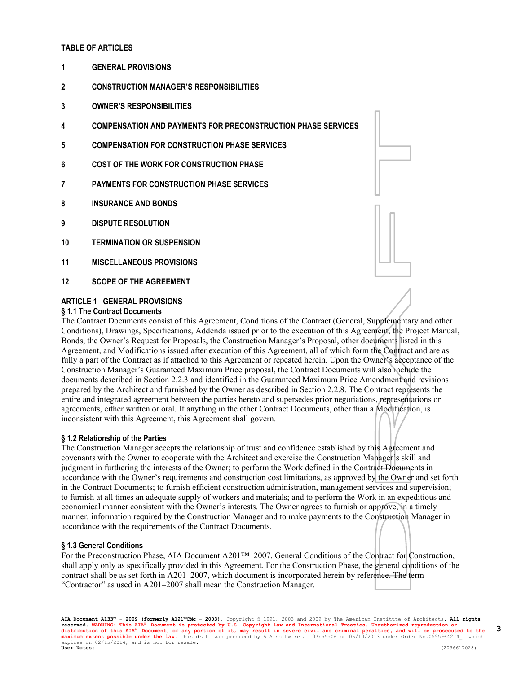# **TABLE OF ARTICLES**

- **1 GENERAL PROVISIONS**
- **2 CONSTRUCTION MANAGER'S RESPONSIBILITIES**
- **3 OWNER'S RESPONSIBILITIES**
- **4 COMPENSATION AND PAYMENTS FOR PRECONSTRUCTION PHASE SERVICES**
- **5 COMPENSATION FOR CONSTRUCTION PHASE SERVICES**
- **6 COST OF THE WORK FOR CONSTRUCTION PHASE**
- **7 PAYMENTS FOR CONSTRUCTION PHASE SERVICES**
- **8 INSURANCE AND BONDS**
- **9 DISPUTE RESOLUTION**
- **10 TERMINATION OR SUSPENSION**
- **11 MISCELLANEOUS PROVISIONS**
- **12 SCOPE OF THE AGREEMENT**

# **ARTICLE 1 GENERAL PROVISIONS**

#### **§ 1.1 The Contract Documents**

The Contract Documents consist of this Agreement, Conditions of the Contract (General, Supplementary and other Conditions), Drawings, Specifications, Addenda issued prior to the execution of this Agreement, the Project Manual, Bonds, the Owner's Request for Proposals, the Construction Manager's Proposal, other documents listed in this Agreement, and Modifications issued after execution of this Agreement, all of which form the Contract and are as fully a part of the Contract as if attached to this Agreement or repeated herein. Upon the Owner's acceptance of the Construction Manager's Guaranteed Maximum Price proposal, the Contract Documents will also include the documents described in Section 2.2.3 and identified in the Guaranteed Maximum Price Amendment and revisions prepared by the Architect and furnished by the Owner as described in Section 2.2.8. The Contract represents the entire and integrated agreement between the parties hereto and supersedes prior negotiations, representations or agreements, either written or oral. If anything in the other Contract Documents, other than a Modification, is inconsistent with this Agreement, this Agreement shall govern.

#### **§ 1.2 Relationship of the Parties**

The Construction Manager accepts the relationship of trust and confidence established by this Agreement and covenants with the Owner to cooperate with the Architect and exercise the Construction Manager's skill and judgment in furthering the interests of the Owner; to perform the Work defined in the Contract Documents in accordance with the Owner's requirements and construction cost limitations, as approved by the Owner and set forth in the Contract Documents; to furnish efficient construction administration, management services and supervision; to furnish at all times an adequate supply of workers and materials; and to perform the Work in an expeditious and economical manner consistent with the Owner's interests. The Owner agrees to furnish or approve, in a timely manner, information required by the Construction Manager and to make payments to the Construction Manager in accordance with the requirements of the Contract Documents.

# **§ 1.3 General Conditions**

For the Preconstruction Phase, AIA Document A201™–2007, General Conditions of the Contract for Construction, shall apply only as specifically provided in this Agreement. For the Construction Phase, the general conditions of the contract shall be as set forth in A201–2007, which document is incorporated herein by reference. The term "Contractor" as used in A201–2007 shall mean the Construction Manager.



**AIA Document A133™ – 2009 (formerly A121™CMc – 2003).** Copyright © 1991, 2003 and 2009 by The American Institute of Architects**. All rights**  reserved. WARNING: This AIA® Document is protected by U.S. Copyright Law and International Treaties. Unauthorized reproduction or<br>distribution of this AIA® Document, or any portion of it, may result in severe civil and cri **User Notes:** (2036617028)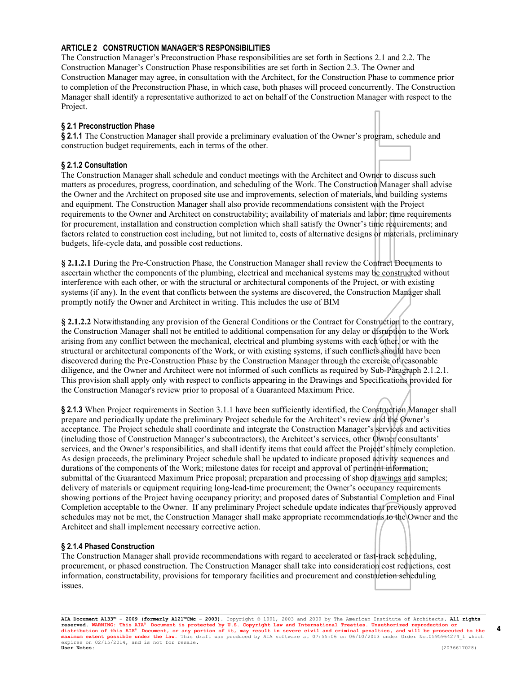# **ARTICLE 2 CONSTRUCTION MANAGER'S RESPONSIBILITIES**

The Construction Manager's Preconstruction Phase responsibilities are set forth in Sections 2.1 and 2.2. The Construction Manager's Construction Phase responsibilities are set forth in Section 2.3. The Owner and Construction Manager may agree, in consultation with the Architect, for the Construction Phase to commence prior to completion of the Preconstruction Phase, in which case, both phases will proceed concurrently. The Construction Manager shall identify a representative authorized to act on behalf of the Construction Manager with respect to the Project.

### **§ 2.1 Preconstruction Phase**

**§ 2.1.1** The Construction Manager shall provide a preliminary evaluation of the Owner's program, schedule and construction budget requirements, each in terms of the other.

# **§ 2.1.2 Consultation**

The Construction Manager shall schedule and conduct meetings with the Architect and Owner to discuss such matters as procedures, progress, coordination, and scheduling of the Work. The Construction Manager shall advise the Owner and the Architect on proposed site use and improvements, selection of materials, and building systems and equipment. The Construction Manager shall also provide recommendations consistent with the Project requirements to the Owner and Architect on constructability; availability of materials and labor; time requirements for procurement, installation and construction completion which shall satisfy the Owner's time requirements; and factors related to construction cost including, but not limited to, costs of alternative designs or materials, preliminary budgets, life-cycle data, and possible cost reductions.

**§ 2.1.2.1** During the Pre-Construction Phase, the Construction Manager shall review the Contract Documents to ascertain whether the components of the plumbing, electrical and mechanical systems may be constructed without interference with each other, or with the structural or architectural components of the Project, or with existing systems (if any). In the event that conflicts between the systems are discovered, the Construction Manager shall promptly notify the Owner and Architect in writing. This includes the use of BIM

**§ 2.1.2.2** Notwithstanding any provision of the General Conditions or the Contract for Construction to the contrary, the Construction Manager shall not be entitled to additional compensation for any delay or disruption to the Work arising from any conflict between the mechanical, electrical and plumbing systems with each other, or with the structural or architectural components of the Work, or with existing systems, if such conflicts should have been discovered during the Pre-Construction Phase by the Construction Manager through the exercise of reasonable diligence, and the Owner and Architect were not informed of such conflicts as required by Sub-Paragraph 2.1.2.1. This provision shall apply only with respect to conflicts appearing in the Drawings and Specifications provided for the Construction Manager's review prior to proposal of a Guaranteed Maximum Price.

**§ 2.1.3** When Project requirements in Section 3.1.1 have been sufficiently identified, the Construction Manager shall prepare and periodically update the preliminary Project schedule for the Architect's review and the Owner's acceptance. The Project schedule shall coordinate and integrate the Construction Manager's services and activities (including those of Construction Manager's subcontractors), the Architect's services, other Owner consultants' services, and the Owner's responsibilities, and shall identify items that could affect the Project's timely completion. As design proceeds, the preliminary Project schedule shall be updated to indicate proposed activity sequences and durations of the components of the Work; milestone dates for receipt and approval of pertinent information; submittal of the Guaranteed Maximum Price proposal; preparation and processing of shop drawings and samples; delivery of materials or equipment requiring long-lead-time procurement; the Owner's occupancy requirements showing portions of the Project having occupancy priority; and proposed dates of Substantial Completion and Final Completion acceptable to the Owner. If any preliminary Project schedule update indicates that previously approved schedules may not be met, the Construction Manager shall make appropriate recommendations to the Owner and the Architect and shall implement necessary corrective action.

#### **§ 2.1.4 Phased Construction**

The Construction Manager shall provide recommendations with regard to accelerated or fast-track scheduling, procurement, or phased construction. The Construction Manager shall take into consideration cost reductions, cost information, constructability, provisions for temporary facilities and procurement and construction scheduling issues.

**AIA Document A133™ – 2009 (formerly A121™CMc – 2003).** Copyright © 1991, 2003 and 2009 by The American Institute of Architects**. All rights**  reserved. WARNING: This AIA® Document is protected by U.S. Copyright Law and International Treaties. Unauthorized reproduction or<br>distribution of this AIA® Document, or any portion of it, may result in severe civil and cri **User Notes:** (2036617028)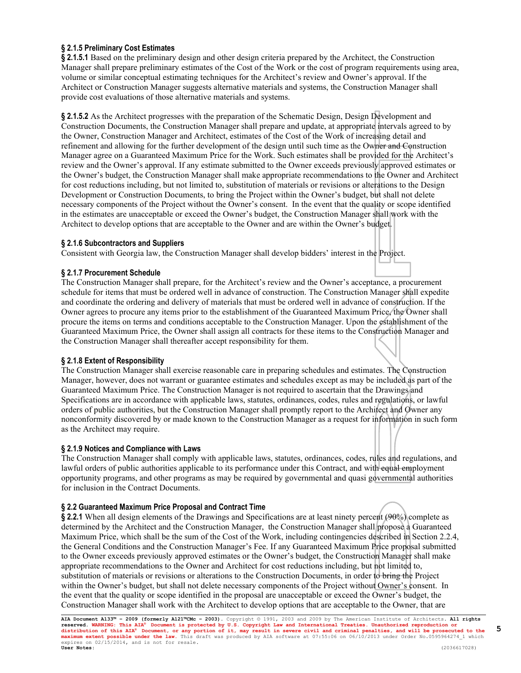# **§ 2.1.5 Preliminary Cost Estimates**

**§ 2.1.5.1** Based on the preliminary design and other design criteria prepared by the Architect, the Construction Manager shall prepare preliminary estimates of the Cost of the Work or the cost of program requirements using area, volume or similar conceptual estimating techniques for the Architect's review and Owner's approval. If the Architect or Construction Manager suggests alternative materials and systems, the Construction Manager shall provide cost evaluations of those alternative materials and systems.

**§ 2.1.5.2** As the Architect progresses with the preparation of the Schematic Design, Design Development and Construction Documents, the Construction Manager shall prepare and update, at appropriate intervals agreed to by the Owner, Construction Manager and Architect, estimates of the Cost of the Work of increasing detail and refinement and allowing for the further development of the design until such time as the Owner and Construction Manager agree on a Guaranteed Maximum Price for the Work. Such estimates shall be provided for the Architect's review and the Owner's approval. If any estimate submitted to the Owner exceeds previously approved estimates or the Owner's budget, the Construction Manager shall make appropriate recommendations to the Owner and Architect for cost reductions including, but not limited to, substitution of materials or revisions or alterations to the Design Development or Construction Documents, to bring the Project within the Owner's budget, but shall not delete necessary components of the Project without the Owner's consent. In the event that the quality or scope identified in the estimates are unacceptable or exceed the Owner's budget, the Construction Manager shall work with the Architect to develop options that are acceptable to the Owner and are within the Owner's budget.

# **§ 2.1.6 Subcontractors and Suppliers**

Consistent with Georgia law, the Construction Manager shall develop bidders' interest in the Project.

# **§ 2.1.7 Procurement Schedule**

The Construction Manager shall prepare, for the Architect's review and the Owner's acceptance, a procurement schedule for items that must be ordered well in advance of construction. The Construction Manager shall expedite and coordinate the ordering and delivery of materials that must be ordered well in advance of construction. If the Owner agrees to procure any items prior to the establishment of the Guaranteed Maximum Price, the Owner shall procure the items on terms and conditions acceptable to the Construction Manager. Upon the establishment of the Guaranteed Maximum Price, the Owner shall assign all contracts for these items to the Construction Manager and the Construction Manager shall thereafter accept responsibility for them.

# **§ 2.1.8 Extent of Responsibility**

The Construction Manager shall exercise reasonable care in preparing schedules and estimates. The Construction Manager, however, does not warrant or guarantee estimates and schedules except as may be included as part of the Guaranteed Maximum Price. The Construction Manager is not required to ascertain that the Drawings and Specifications are in accordance with applicable laws, statutes, ordinances, codes, rules and regulations, or lawful orders of public authorities, but the Construction Manager shall promptly report to the Architect and Owner any nonconformity discovered by or made known to the Construction Manager as a request for information in such form as the Architect may require.

# **§ 2.1.9 Notices and Compliance with Laws**

The Construction Manager shall comply with applicable laws, statutes, ordinances, codes, rules and regulations, and lawful orders of public authorities applicable to its performance under this Contract, and with equal employment opportunity programs, and other programs as may be required by governmental and quasi governmental authorities for inclusion in the Contract Documents.

#### **§ 2.2 Guaranteed Maximum Price Proposal and Contract Time**

**§ 2.2.1** When all design elements of the Drawings and Specifications are at least ninety percent (90%) complete as determined by the Architect and the Construction Manager, the Construction Manager shall propose a Guaranteed Maximum Price, which shall be the sum of the Cost of the Work, including contingencies described in Section 2.2.4, the General Conditions and the Construction Manager's Fee. If any Guaranteed Maximum Price proposal submitted to the Owner exceeds previously approved estimates or the Owner's budget, the Construction Manager shall make appropriate recommendations to the Owner and Architect for cost reductions including, but not limited to, substitution of materials or revisions or alterations to the Construction Documents, in order to bring the Project within the Owner's budget, but shall not delete necessary components of the Project without Owner's consent. In the event that the quality or scope identified in the proposal are unacceptable or exceed the Owner's budget, the Construction Manager shall work with the Architect to develop options that are acceptable to the Owner, that are

**AIA Document A133™ – 2009 (formerly A121™CMc – 2003).** Copyright © 1991, 2003 and 2009 by The American Institute of Architects**. All rights**  reserved. WARNING: This AIA® Document is protected by U.S. Copyright Law and International Treaties. Unauthorized reproduction or<br>distribution of this AIA® Document, or any portion of it, may result in severe civil and cri **User Notes:** (2036617028)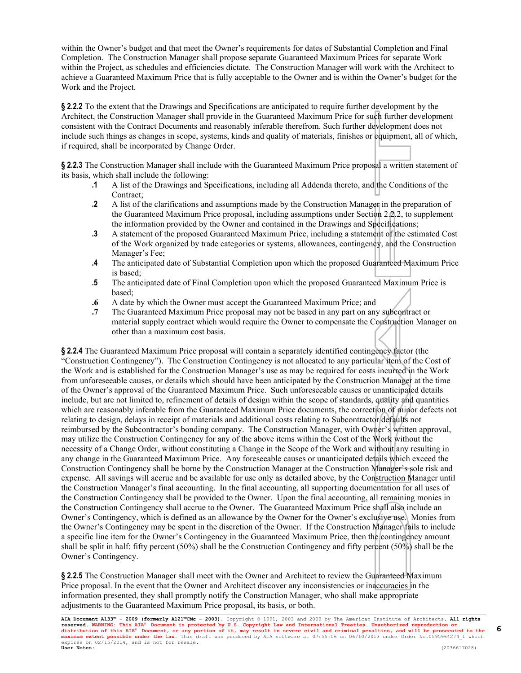within the Owner's budget and that meet the Owner's requirements for dates of Substantial Completion and Final Completion. The Construction Manager shall propose separate Guaranteed Maximum Prices for separate Work within the Project, as schedules and efficiencies dictate. The Construction Manager will work with the Architect to achieve a Guaranteed Maximum Price that is fully acceptable to the Owner and is within the Owner's budget for the Work and the Project.

**§ 2.2.2** To the extent that the Drawings and Specifications are anticipated to require further development by the Architect, the Construction Manager shall provide in the Guaranteed Maximum Price for such further development consistent with the Contract Documents and reasonably inferable therefrom. Such further development does not include such things as changes in scope, systems, kinds and quality of materials, finishes or equipment, all of which, if required, shall be incorporated by Change Order.

**§ 2.2.3** The Construction Manager shall include with the Guaranteed Maximum Price proposal a written statement of its basis, which shall include the following:

- **.1** A list of the Drawings and Specifications, including all Addenda thereto, and the Conditions of the Contract;
- **.2** A list of the clarifications and assumptions made by the Construction Manager in the preparation of the Guaranteed Maximum Price proposal, including assumptions under Section 2.2.2, to supplement the information provided by the Owner and contained in the Drawings and Specifications;
- **.3** A statement of the proposed Guaranteed Maximum Price, including a statement of the estimated Cost of the Work organized by trade categories or systems, allowances, contingency, and the Construction Manager's Fee;
- **.4** The anticipated date of Substantial Completion upon which the proposed Guaranteed Maximum Price is based;
- **.5** The anticipated date of Final Completion upon which the proposed Guaranteed Maximum Price is based;
- **.6** A date by which the Owner must accept the Guaranteed Maximum Price; and
- **.7** The Guaranteed Maximum Price proposal may not be based in any part on any subcontract or material supply contract which would require the Owner to compensate the Construction Manager on other than a maximum cost basis.

**§ 2.2.4** The Guaranteed Maximum Price proposal will contain a separately identified contingency factor (the "Construction Contingency"). The Construction Contingency is not allocated to any particular item of the Cost of the Work and is established for the Construction Manager's use as may be required for costs incurred in the Work from unforeseeable causes, or details which should have been anticipated by the Construction Manager at the time of the Owner's approval of the Guaranteed Maximum Price. Such unforeseeable causes or unanticipated details include, but are not limited to, refinement of details of design within the scope of standards, quality and quantities which are reasonably inferable from the Guaranteed Maximum Price documents, the correction of minor defects not relating to design, delays in receipt of materials and additional costs relating to Subcontractor defaults not reimbursed by the Subcontractor's bonding company. The Construction Manager, with Owner's written approval, may utilize the Construction Contingency for any of the above items within the Cost of the Work without the necessity of a Change Order, without constituting a Change in the Scope of the Work and without any resulting in any change in the Guaranteed Maximum Price. Any foreseeable causes or unanticipated details which exceed the Construction Contingency shall be borne by the Construction Manager at the Construction Manager's sole risk and expense. All savings will accrue and be available for use only as detailed above, by the Construction Manager until the Construction Manager's final accounting. In the final accounting, all supporting documentation for all uses of the Construction Contingency shall be provided to the Owner. Upon the final accounting, all remaining monies in the Construction Contingency shall accrue to the Owner. The Guaranteed Maximum Price shall also include an Owner's Contingency, which is defined as an allowance by the Owner for the Owner's exclusive use. Monies from the Owner's Contingency may be spent in the discretion of the Owner. If the Construction Manager fails to include a specific line item for the Owner's Contingency in the Guaranteed Maximum Price, then the contingency amount shall be split in half: fifty percent (50%) shall be the Construction Contingency and fifty percent (50%) shall be the Owner's Contingency.

**§ 2.2.5** The Construction Manager shall meet with the Owner and Architect to review the Guaranteed Maximum Price proposal. In the event that the Owner and Architect discover any inconsistencies or inaccuracies in the information presented, they shall promptly notify the Construction Manager, who shall make appropriate adjustments to the Guaranteed Maximum Price proposal, its basis, or both.

**AIA Document A133™ – 2009 (formerly A121™CMc – 2003).** Copyright © 1991, 2003 and 2009 by The American Institute of Architects**. All rights**  reserved. WARNING: This AIA® Document is protected by U.S. Copyright Law and International Treaties. Unauthorized reproduction or<br>distribution of this AIA® Document, or any portion of it, may result in severe civil and cri **User Notes:** (2036617028)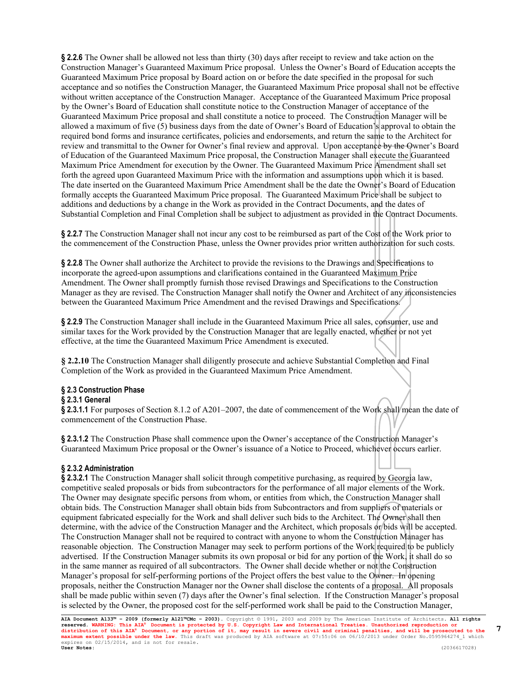**§ 2.2.6** The Owner shall be allowed not less than thirty (30) days after receipt to review and take action on the Construction Manager's Guaranteed Maximum Price proposal. Unless the Owner's Board of Education accepts the Guaranteed Maximum Price proposal by Board action on or before the date specified in the proposal for such acceptance and so notifies the Construction Manager, the Guaranteed Maximum Price proposal shall not be effective without written acceptance of the Construction Manager. Acceptance of the Guaranteed Maximum Price proposal by the Owner's Board of Education shall constitute notice to the Construction Manager of acceptance of the Guaranteed Maximum Price proposal and shall constitute a notice to proceed. The Construction Manager will be allowed a maximum of five (5) business days from the date of Owner's Board of Education's approval to obtain the required bond forms and insurance certificates, policies and endorsements, and return the same to the Architect for review and transmittal to the Owner for Owner's final review and approval. Upon acceptance by the Owner's Board of Education of the Guaranteed Maximum Price proposal, the Construction Manager shall execute the Guaranteed Maximum Price Amendment for execution by the Owner. The Guaranteed Maximum Price Amendment shall set forth the agreed upon Guaranteed Maximum Price with the information and assumptions upon which it is based. The date inserted on the Guaranteed Maximum Price Amendment shall be the date the Owner's Board of Education formally accepts the Guaranteed Maximum Price proposal. The Guaranteed Maximum Price shall be subject to additions and deductions by a change in the Work as provided in the Contract Documents, and the dates of Substantial Completion and Final Completion shall be subject to adjustment as provided in the Contract Documents.

**§ 2.2.7** The Construction Manager shall not incur any cost to be reimbursed as part of the Cost of the Work prior to the commencement of the Construction Phase, unless the Owner provides prior written authorization for such costs.

**§ 2.2.8** The Owner shall authorize the Architect to provide the revisions to the Drawings and Specifications to incorporate the agreed-upon assumptions and clarifications contained in the Guaranteed Maximum Price Amendment. The Owner shall promptly furnish those revised Drawings and Specifications to the Construction Manager as they are revised. The Construction Manager shall notify the Owner and Architect of any inconsistencies between the Guaranteed Maximum Price Amendment and the revised Drawings and Specifications.

**§ 2.2.9** The Construction Manager shall include in the Guaranteed Maximum Price all sales, consumer, use and similar taxes for the Work provided by the Construction Manager that are legally enacted, whether or not yet effective, at the time the Guaranteed Maximum Price Amendment is executed.

**§ 2.2.10** The Construction Manager shall diligently prosecute and achieve Substantial Completion and Final Completion of the Work as provided in the Guaranteed Maximum Price Amendment.

#### **§ 2.3 Construction Phase**

#### **§ 2.3.1 General**

**§ 2.3.1.1** For purposes of Section 8.1.2 of A201–2007, the date of commencement of the Work shall mean the date of commencement of the Construction Phase.

**§ 2.3.1.2** The Construction Phase shall commence upon the Owner's acceptance of the Construction Manager's Guaranteed Maximum Price proposal or the Owner's issuance of a Notice to Proceed, whichever occurs earlier.

#### **§ 2.3.2 Administration**

**§ 2.3.2.1** The Construction Manager shall solicit through competitive purchasing, as required by Georgia law, competitive sealed proposals or bids from subcontractors for the performance of all major elements of the Work. The Owner may designate specific persons from whom, or entities from which, the Construction Manager shall obtain bids. The Construction Manager shall obtain bids from Subcontractors and from suppliers of materials or equipment fabricated especially for the Work and shall deliver such bids to the Architect. The Owner shall then determine, with the advice of the Construction Manager and the Architect, which proposals or bids will be accepted. The Construction Manager shall not be required to contract with anyone to whom the Construction Manager has reasonable objection. The Construction Manager may seek to perform portions of the Work required to be publicly advertised. If the Construction Manager submits its own proposal or bid for any portion of the Work, it shall do so in the same manner as required of all subcontractors. The Owner shall decide whether or not the Construction Manager's proposal for self-performing portions of the Project offers the best value to the Owner. In opening proposals, neither the Construction Manager nor the Owner shall disclose the contents of a proposal. All proposals shall be made public within seven (7) days after the Owner's final selection. If the Construction Manager's proposal is selected by the Owner, the proposed cost for the self-performed work shall be paid to the Construction Manager,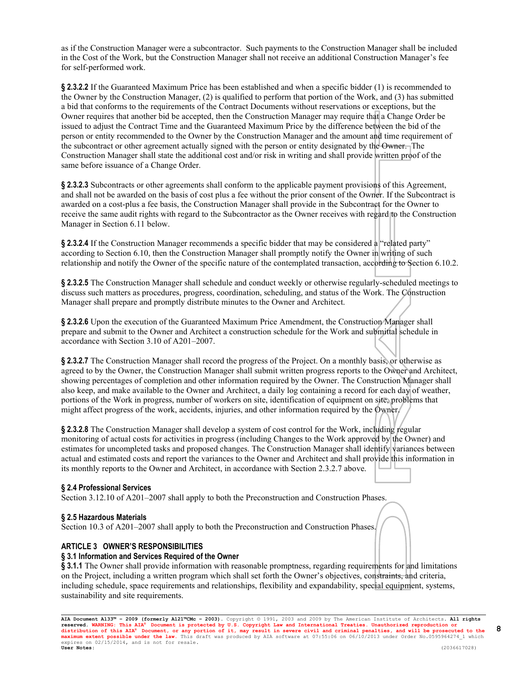as if the Construction Manager were a subcontractor. Such payments to the Construction Manager shall be included in the Cost of the Work, but the Construction Manager shall not receive an additional Construction Manager's fee for self-performed work.

**§ 2.3.2.2** If the Guaranteed Maximum Price has been established and when a specific bidder (1) is recommended to the Owner by the Construction Manager, (2) is qualified to perform that portion of the Work, and (3) has submitted a bid that conforms to the requirements of the Contract Documents without reservations or exceptions, but the Owner requires that another bid be accepted, then the Construction Manager may require that a Change Order be issued to adjust the Contract Time and the Guaranteed Maximum Price by the difference between the bid of the person or entity recommended to the Owner by the Construction Manager and the amount and time requirement of the subcontract or other agreement actually signed with the person or entity designated by the Owner. The Construction Manager shall state the additional cost and/or risk in writing and shall provide written proof of the same before issuance of a Change Order.

**§ 2.3.2.3** Subcontracts or other agreements shall conform to the applicable payment provisions of this Agreement, and shall not be awarded on the basis of cost plus a fee without the prior consent of the Owner. If the Subcontract is awarded on a cost-plus a fee basis, the Construction Manager shall provide in the Subcontract for the Owner to receive the same audit rights with regard to the Subcontractor as the Owner receives with regard to the Construction Manager in Section 6.11 below.

**§ 2.3.2.4** If the Construction Manager recommends a specific bidder that may be considered a "related party" according to Section 6.10, then the Construction Manager shall promptly notify the Owner in writing of such relationship and notify the Owner of the specific nature of the contemplated transaction, according to Section 6.10.2.

**§ 2.3.2.5** The Construction Manager shall schedule and conduct weekly or otherwise regularly-scheduled meetings to discuss such matters as procedures, progress, coordination, scheduling, and status of the Work. The Construction Manager shall prepare and promptly distribute minutes to the Owner and Architect.

**§ 2.3.2.6** Upon the execution of the Guaranteed Maximum Price Amendment, the Construction Manager shall prepare and submit to the Owner and Architect a construction schedule for the Work and submittal schedule in accordance with Section 3.10 of A201–2007.

**§ 2.3.2.7** The Construction Manager shall record the progress of the Project. On a monthly basis, or otherwise as agreed to by the Owner, the Construction Manager shall submit written progress reports to the Owner and Architect, showing percentages of completion and other information required by the Owner. The Construction Manager shall also keep, and make available to the Owner and Architect, a daily log containing a record for each day of weather, portions of the Work in progress, number of workers on site, identification of equipment on site, problems that might affect progress of the work, accidents, injuries, and other information required by the Owner.

**§ 2.3.2.8** The Construction Manager shall develop a system of cost control for the Work, including regular monitoring of actual costs for activities in progress (including Changes to the Work approved by the Owner) and estimates for uncompleted tasks and proposed changes. The Construction Manager shall identify variances between actual and estimated costs and report the variances to the Owner and Architect and shall provide this information in its monthly reports to the Owner and Architect, in accordance with Section 2.3.2.7 above.

# **§ 2.4 Professional Services**

Section 3.12.10 of A201–2007 shall apply to both the Preconstruction and Construction Phases.

#### **§ 2.5 Hazardous Materials**

Section 10.3 of A201–2007 shall apply to both the Preconstruction and Construction Phases.

# **ARTICLE 3 OWNER'S RESPONSIBILITIES**

#### **§ 3.1 Information and Services Required of the Owner**

§ 3.1.1 The Owner shall provide information with reasonable promptness, regarding requirements for and limitations on the Project, including a written program which shall set forth the Owner's objectives, constraints, and criteria, including schedule, space requirements and relationships, flexibility and expandability, special equipment, systems, sustainability and site requirements.

**AIA Document A133™ – 2009 (formerly A121™CMc – 2003).** Copyright © 1991, 2003 and 2009 by The American Institute of Architects**. All rights**  reserved. WARNING: This AIA® Document is protected by U.S. Copyright Law and International Treaties. Unauthorized reproduction or<br>distribution of this AIA® Document, or any portion of it, may result in severe civil and cri **User Notes:** (2036617028)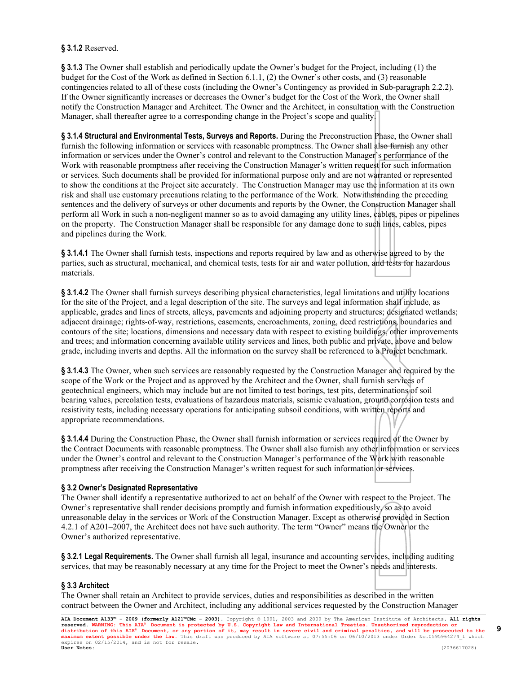# **§ 3.1.2** Reserved.

**§ 3.1.3** The Owner shall establish and periodically update the Owner's budget for the Project, including (1) the budget for the Cost of the Work as defined in Section 6.1.1, (2) the Owner's other costs, and (3) reasonable contingencies related to all of these costs (including the Owner's Contingency as provided in Sub-paragraph 2.2.2). If the Owner significantly increases or decreases the Owner's budget for the Cost of the Work, the Owner shall notify the Construction Manager and Architect. The Owner and the Architect, in consultation with the Construction Manager, shall thereafter agree to a corresponding change in the Project's scope and quality.

**§ 3.1.4 Structural and Environmental Tests, Surveys and Reports.** During the Preconstruction Phase, the Owner shall furnish the following information or services with reasonable promptness. The Owner shall also furnish any other information or services under the Owner's control and relevant to the Construction Manager's performance of the Work with reasonable promptness after receiving the Construction Manager's written request for such information or services. Such documents shall be provided for informational purpose only and are not warranted or represented to show the conditions at the Project site accurately. The Construction Manager may use the information at its own risk and shall use customary precautions relating to the performance of the Work. Notwithstanding the preceding sentences and the delivery of surveys or other documents and reports by the Owner, the Construction Manager shall perform all Work in such a non-negligent manner so as to avoid damaging any utility lines, cables, pipes or pipelines on the property. The Construction Manager shall be responsible for any damage done to such lines, cables, pipes and pipelines during the Work.

**§ 3.1.4.1** The Owner shall furnish tests, inspections and reports required by law and as otherwise agreed to by the parties, such as structural, mechanical, and chemical tests, tests for air and water pollution, and tests for hazardous materials.

**§ 3.1.4.2** The Owner shall furnish surveys describing physical characteristics, legal limitations and utility locations for the site of the Project, and a legal description of the site. The surveys and legal information shall include, as applicable, grades and lines of streets, alleys, pavements and adjoining property and structures; designated wetlands; adjacent drainage; rights-of-way, restrictions, easements, encroachments, zoning, deed restrictions, boundaries and contours of the site; locations, dimensions and necessary data with respect to existing buildings, other improvements and trees; and information concerning available utility services and lines, both public and private, above and below grade, including inverts and depths. All the information on the survey shall be referenced to a Project benchmark.

**§ 3.1.4.3** The Owner, when such services are reasonably requested by the Construction Manager and required by the scope of the Work or the Project and as approved by the Architect and the Owner, shall furnish services of geotechnical engineers, which may include but are not limited to test borings, test pits, determinations of soil bearing values, percolation tests, evaluations of hazardous materials, seismic evaluation, ground corrosion tests and resistivity tests, including necessary operations for anticipating subsoil conditions, with written reports and appropriate recommendations.

**§ 3.1.4.4** During the Construction Phase, the Owner shall furnish information or services required of the Owner by the Contract Documents with reasonable promptness. The Owner shall also furnish any other information or services under the Owner's control and relevant to the Construction Manager's performance of the Work with reasonable promptness after receiving the Construction Manager's written request for such information or services.

# **§ 3.2 Owner's Designated Representative**

The Owner shall identify a representative authorized to act on behalf of the Owner with respect to the Project. The Owner's representative shall render decisions promptly and furnish information expeditiously, so as to avoid unreasonable delay in the services or Work of the Construction Manager. Except as otherwise provided in Section 4.2.1 of A201–2007, the Architect does not have such authority. The term "Owner" means the Owner or the Owner's authorized representative.

**§ 3.2.1 Legal Requirements.** The Owner shall furnish all legal, insurance and accounting services, including auditing services, that may be reasonably necessary at any time for the Project to meet the Owner's needs and interests.

# **§ 3.3 Architect**

The Owner shall retain an Architect to provide services, duties and responsibilities as described in the written contract between the Owner and Architect, including any additional services requested by the Construction Manager

**AIA Document A133™ – 2009 (formerly A121™CMc – 2003).** Copyright © 1991, 2003 and 2009 by The American Institute of Architects**. All rights**  reserved. WARNING: This AIA® Document is protected by U.S. Copyright Law and International Treaties. Unauthorized reproduction or<br>distribution of this AIA® Document, or any portion of it, may result in severe civil and cri **User Notes:** (2036617028)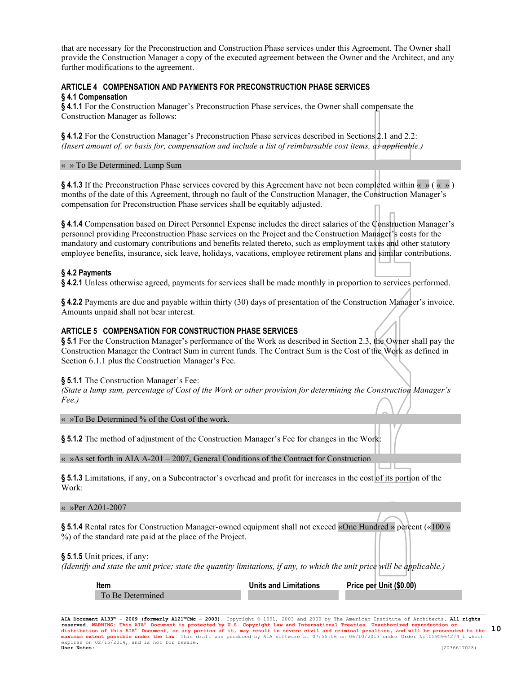that are necessary for the Preconstruction and Construction Phase services under this Agreement. The Owner shall provide the Construction Manager a copy of the executed agreement between the Owner and the Architect, and any further modifications to the agreement.

# **ARTICLE 4 COMPENSATION AND PAYMENTS FOR PRECONSTRUCTION PHASE SERVICES § 4.1 Compensation**

**§ 4.1.1** For the Construction Manager's Preconstruction Phase services, the Owner shall compensate the Construction Manager as follows:

**§ 4.1.2** For the Construction Manager's Preconstruction Phase services described in Sections 2.1 and 2.2: *(Insert amount of, or basis for, compensation and include a list of reimbursable cost items, as applicable.)*

#### « » To Be Determined. Lump Sum

**§ 4.1.3** If the Preconstruction Phase services covered by this Agreement have not been completed within « » ( « » ) months of the date of this Agreement, through no fault of the Construction Manager, the Construction Manager's compensation for Preconstruction Phase services shall be equitably adjusted.

**§ 4.1.4** Compensation based on Direct Personnel Expense includes the direct salaries of the Construction Manager's personnel providing Preconstruction Phase services on the Project and the Construction Manager's costs for the mandatory and customary contributions and benefits related thereto, such as employment taxes and other statutory employee benefits, insurance, sick leave, holidays, vacations, employee retirement plans and similar contributions.

### **§ 4.2 Payments**

**§ 4.2.1** Unless otherwise agreed, payments for services shall be made monthly in proportion to services performed.

**§ 4.2.2** Payments are due and payable within thirty (30) days of presentation of the Construction Manager's invoice. Amounts unpaid shall not bear interest.

### **ARTICLE 5 COMPENSATION FOR CONSTRUCTION PHASE SERVICES**

**§ 5.1** For the Construction Manager's performance of the Work as described in Section 2.3, the Owner shall pay the Construction Manager the Contract Sum in current funds. The Contract Sum is the Cost of the Work as defined in Section 6.1.1 plus the Construction Manager's Fee.

#### **§ 5.1.1** The Construction Manager's Fee:

*(State a lump sum, percentage of Cost of the Work or other provision for determining the Construction Manager's Fee.)*

« »To Be Determined % of the Cost of the work.

**§ 5.1.2** The method of adjustment of the Construction Manager's Fee for changes in the Work:

« »As set forth in AIA A-201 – 2007, General Conditions of the Contract for Construction

**§ 5.1.3** Limitations, if any, on a Subcontractor's overhead and profit for increases in the cost of its portion of the Work:

« »Per A201-2007

**§ 5.1.4** Rental rates for Construction Manager-owned equipment shall not exceed «One Hundred » percent («100 » %) of the standard rate paid at the place of the Project.

#### **§ 5.1.5** Unit prices, if any:

*(Identify and state the unit price; state the quantity limitations, if any, to which the unit price will be applicable.)*

**Item Units and Limitations Price per Unit (\$0.00)** To Be Determined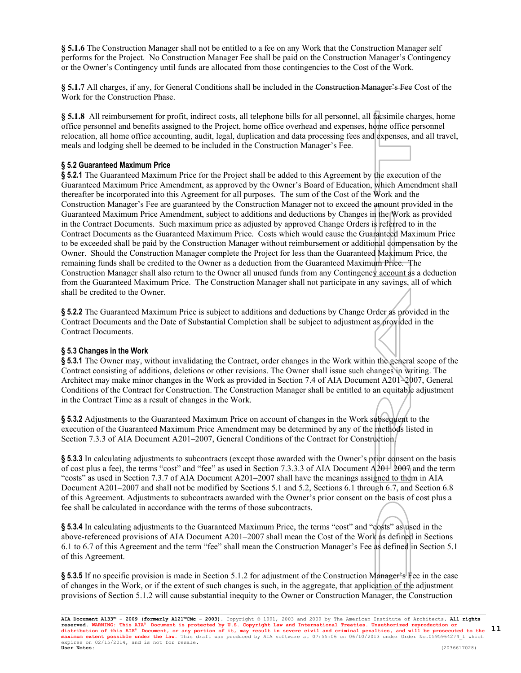**§ 5.1.6** The Construction Manager shall not be entitled to a fee on any Work that the Construction Manager self performs for the Project. No Construction Manager Fee shall be paid on the Construction Manager's Contingency or the Owner's Contingency until funds are allocated from those contingencies to the Cost of the Work.

**§ 5.1.7** All charges, if any, for General Conditions shall be included in the Construction Manager's Fee Cost of the Work for the Construction Phase.

**§ 5.1.8** All reimbursement for profit, indirect costs, all telephone bills for all personnel, all facsimile charges, home office personnel and benefits assigned to the Project, home office overhead and expenses, home office personnel relocation, all home office accounting, audit, legal, duplication and data processing fees and expenses, and all travel, meals and lodging shell be deemed to be included in the Construction Manager's Fee.

# **§ 5.2 Guaranteed Maximum Price**

**§ 5.2.1** The Guaranteed Maximum Price for the Project shall be added to this Agreement by the execution of the Guaranteed Maximum Price Amendment, as approved by the Owner's Board of Education, which Amendment shall thereafter be incorporated into this Agreement for all purposes. The sum of the Cost of the Work and the Construction Manager's Fee are guaranteed by the Construction Manager not to exceed the amount provided in the Guaranteed Maximum Price Amendment, subject to additions and deductions by Changes in the Work as provided in the Contract Documents. Such maximum price as adjusted by approved Change Orders is referred to in the Contract Documents as the Guaranteed Maximum Price. Costs which would cause the Guaranteed Maximum Price to be exceeded shall be paid by the Construction Manager without reimbursement or additional compensation by the Owner. Should the Construction Manager complete the Project for less than the Guaranteed Maximum Price, the remaining funds shall be credited to the Owner as a deduction from the Guaranteed Maximum Price. The Construction Manager shall also return to the Owner all unused funds from any Contingency account as a deduction from the Guaranteed Maximum Price. The Construction Manager shall not participate in any savings, all of which shall be credited to the Owner.

**§ 5.2.2** The Guaranteed Maximum Price is subject to additions and deductions by Change Order as provided in the Contract Documents and the Date of Substantial Completion shall be subject to adjustment as provided in the Contract Documents.

# **§ 5.3 Changes in the Work**

**§ 5.3.1** The Owner may, without invalidating the Contract, order changes in the Work within the general scope of the Contract consisting of additions, deletions or other revisions. The Owner shall issue such changes in writing. The Architect may make minor changes in the Work as provided in Section 7.4 of AIA Document A201–2007, General Conditions of the Contract for Construction. The Construction Manager shall be entitled to an equitable adjustment in the Contract Time as a result of changes in the Work.

**§ 5.3.2** Adjustments to the Guaranteed Maximum Price on account of changes in the Work subsequent to the execution of the Guaranteed Maximum Price Amendment may be determined by any of the methods listed in Section 7.3.3 of AIA Document A201–2007, General Conditions of the Contract for Construction.

**§ 5.3.3** In calculating adjustments to subcontracts (except those awarded with the Owner's prior consent on the basis of cost plus a fee), the terms "cost" and "fee" as used in Section 7.3.3.3 of AIA Document A201–2007 and the term "costs" as used in Section 7.3.7 of AIA Document A201–2007 shall have the meanings assigned to them in AIA Document A201–2007 and shall not be modified by Sections 5.1 and 5.2, Sections 6.1 through 6.7, and Section 6.8 of this Agreement. Adjustments to subcontracts awarded with the Owner's prior consent on the basis of cost plus a fee shall be calculated in accordance with the terms of those subcontracts.

**§ 5.3.4** In calculating adjustments to the Guaranteed Maximum Price, the terms "cost" and "costs" as used in the above-referenced provisions of AIA Document A201–2007 shall mean the Cost of the Work as defined in Sections 6.1 to 6.7 of this Agreement and the term "fee" shall mean the Construction Manager's Fee as defined in Section 5.1 of this Agreement.

**§ 5.3.5** If no specific provision is made in Section 5.1.2 for adjustment of the Construction Manager's Fee in the case of changes in the Work, or if the extent of such changes is such, in the aggregate, that application of the adjustment provisions of Section 5.1.2 will cause substantial inequity to the Owner or Construction Manager, the Construction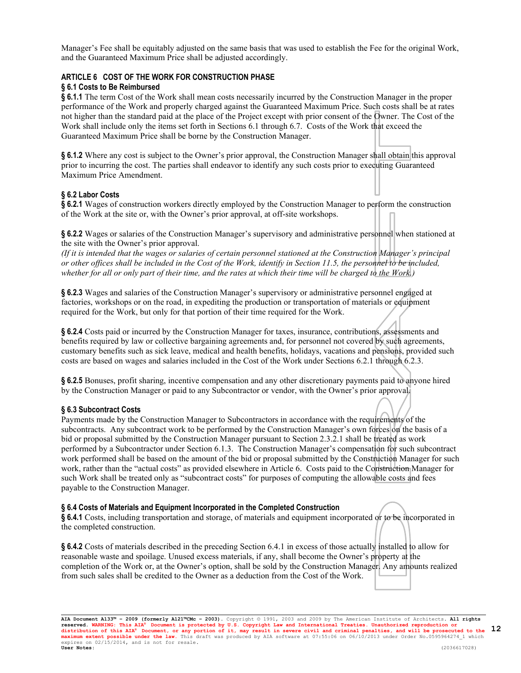Manager's Fee shall be equitably adjusted on the same basis that was used to establish the Fee for the original Work, and the Guaranteed Maximum Price shall be adjusted accordingly.

# **ARTICLE 6 COST OF THE WORK FOR CONSTRUCTION PHASE**

# **§ 6.1 Costs to Be Reimbursed**

**§ 6.1.1** The term Cost of the Work shall mean costs necessarily incurred by the Construction Manager in the proper performance of the Work and properly charged against the Guaranteed Maximum Price. Such costs shall be at rates not higher than the standard paid at the place of the Project except with prior consent of the Owner. The Cost of the Work shall include only the items set forth in Sections 6.1 through 6.7. Costs of the Work that exceed the Guaranteed Maximum Price shall be borne by the Construction Manager.

**§ 6.1.2** Where any cost is subject to the Owner's prior approval, the Construction Manager shall obtain this approval prior to incurring the cost. The parties shall endeavor to identify any such costs prior to executing Guaranteed Maximum Price Amendment.

# **§ 6.2 Labor Costs**

**§ 6.2.1** Wages of construction workers directly employed by the Construction Manager to perform the construction of the Work at the site or, with the Owner's prior approval, at off-site workshops.

**§ 6.2.2** Wages or salaries of the Construction Manager's supervisory and administrative personnel when stationed at the site with the Owner's prior approval.

*(If it is intended that the wages or salaries of certain personnel stationed at the Construction Manager's principal or other offices shall be included in the Cost of the Work, identify in Section 11.5, the personnel to be included, whether for all or only part of their time, and the rates at which their time will be charged to the Work.)*

**§ 6.2.3** Wages and salaries of the Construction Manager's supervisory or administrative personnel engaged at factories, workshops or on the road, in expediting the production or transportation of materials or equipment required for the Work, but only for that portion of their time required for the Work.

**§ 6.2.4** Costs paid or incurred by the Construction Manager for taxes, insurance, contributions, assessments and benefits required by law or collective bargaining agreements and, for personnel not covered by such agreements, customary benefits such as sick leave, medical and health benefits, holidays, vacations and pensions, provided such costs are based on wages and salaries included in the Cost of the Work under Sections 6.2.1 through 6.2.3.

**§ 6.2.5** Bonuses, profit sharing, incentive compensation and any other discretionary payments paid to anyone hired by the Construction Manager or paid to any Subcontractor or vendor, with the Owner's prior approval.

# **§ 6.3 Subcontract Costs**

Payments made by the Construction Manager to Subcontractors in accordance with the requirements of the subcontracts. Any subcontract work to be performed by the Construction Manager's own forces on the basis of a bid or proposal submitted by the Construction Manager pursuant to Section 2.3.2.1 shall be treated as work performed by a Subcontractor under Section 6.1.3. The Construction Manager's compensation for such subcontract work performed shall be based on the amount of the bid or proposal submitted by the Construction Manager for such work, rather than the "actual costs" as provided elsewhere in Article 6. Costs paid to the Construction Manager for such Work shall be treated only as "subcontract costs" for purposes of computing the allowable costs and fees payable to the Construction Manager.

#### **§ 6.4 Costs of Materials and Equipment Incorporated in the Completed Construction**

**§ 6.4.1** Costs, including transportation and storage, of materials and equipment incorporated or to be incorporated in the completed construction.

**§ 6.4.2** Costs of materials described in the preceding Section 6.4.1 in excess of those actually installed to allow for reasonable waste and spoilage. Unused excess materials, if any, shall become the Owner's property at the completion of the Work or, at the Owner's option, shall be sold by the Construction Manager. Any amounts realized from such sales shall be credited to the Owner as a deduction from the Cost of the Work.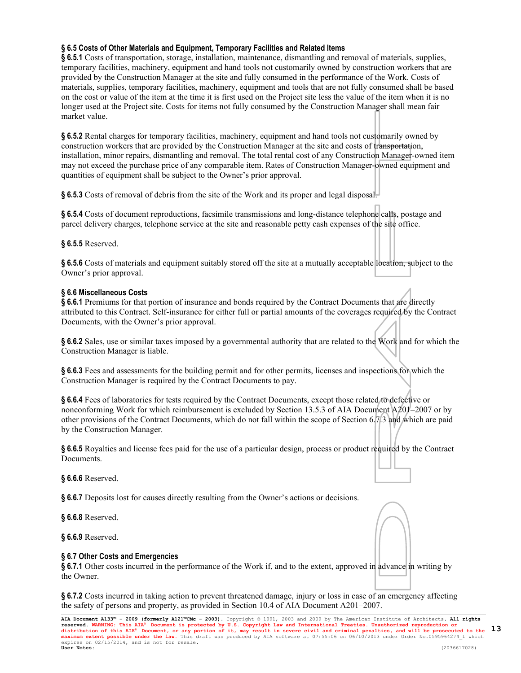# **§ 6.5 Costs of Other Materials and Equipment, Temporary Facilities and Related Items**

**§ 6.5.1** Costs of transportation, storage, installation, maintenance, dismantling and removal of materials, supplies, temporary facilities, machinery, equipment and hand tools not customarily owned by construction workers that are provided by the Construction Manager at the site and fully consumed in the performance of the Work. Costs of materials, supplies, temporary facilities, machinery, equipment and tools that are not fully consumed shall be based on the cost or value of the item at the time it is first used on the Project site less the value of the item when it is no longer used at the Project site. Costs for items not fully consumed by the Construction Manager shall mean fair market value.

**§ 6.5.2** Rental charges for temporary facilities, machinery, equipment and hand tools not customarily owned by construction workers that are provided by the Construction Manager at the site and costs of transportation, installation, minor repairs, dismantling and removal. The total rental cost of any Construction Manager-owned item may not exceed the purchase price of any comparable item. Rates of Construction Manager-owned equipment and quantities of equipment shall be subject to the Owner's prior approval.

**§ 6.5.3** Costs of removal of debris from the site of the Work and its proper and legal disposal.

**§ 6.5.4** Costs of document reproductions, facsimile transmissions and long-distance telephone calls, postage and parcel delivery charges, telephone service at the site and reasonable petty cash expenses of the site office.

**§ 6.5.5** Reserved.

**§ 6.5.6** Costs of materials and equipment suitably stored off the site at a mutually acceptable location, subject to the Owner's prior approval.

# **§ 6.6 Miscellaneous Costs**

**§ 6.6.1** Premiums for that portion of insurance and bonds required by the Contract Documents that are directly attributed to this Contract. Self-insurance for either full or partial amounts of the coverages required by the Contract Documents, with the Owner's prior approval.

**§ 6.6.2** Sales, use or similar taxes imposed by a governmental authority that are related to the Work and for which the Construction Manager is liable.

**§ 6.6.3** Fees and assessments for the building permit and for other permits, licenses and inspections for which the Construction Manager is required by the Contract Documents to pay.

**§ 6.6.4** Fees of laboratories for tests required by the Contract Documents, except those related to defective or nonconforming Work for which reimbursement is excluded by Section 13.5.3 of AIA Document A201–2007 or by other provisions of the Contract Documents, which do not fall within the scope of Section 6.7.3 and which are paid by the Construction Manager.

**§ 6.6.5** Royalties and license fees paid for the use of a particular design, process or product required by the Contract Documents.

**§ 6.6.6** Reserved.

**§ 6.6.7** Deposits lost for causes directly resulting from the Owner's actions or decisions.

**§ 6.6.8** Reserved.

**§ 6.6.9** Reserved.

# **§ 6.7 Other Costs and Emergencies**

**§ 6.7.1** Other costs incurred in the performance of the Work if, and to the extent, approved in advance in writing by the Owner.

**§ 6.7.2** Costs incurred in taking action to prevent threatened damage, injury or loss in case of an emergency affecting the safety of persons and property, as provided in Section 10.4 of AIA Document A201–2007.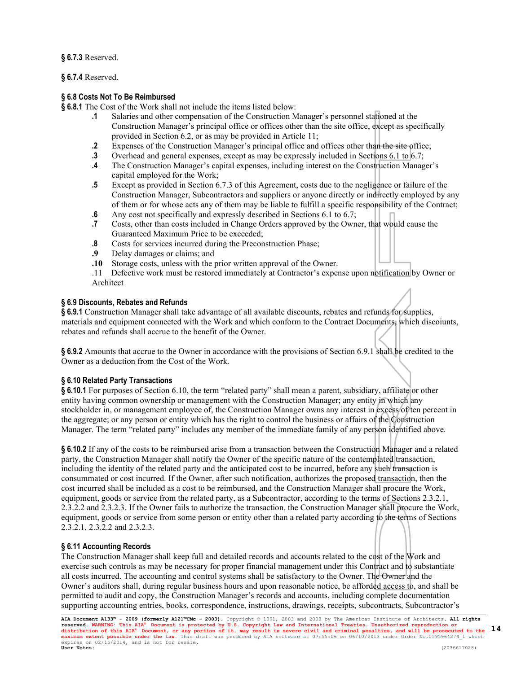**§ 6.7.3** Reserved.

**§ 6.7.4** Reserved.

# **§ 6.8 Costs Not To Be Reimbursed**

**§ 6.8.1** The Cost of the Work shall not include the items listed below:

- **.1** Salaries and other compensation of the Construction Manager's personnel stationed at the Construction Manager's principal office or offices other than the site office, except as specifically provided in Section 6.2, or as may be provided in Article 11;
- **.2** Expenses of the Construction Manager's principal office and offices other than the site office;<br>**3** Overhead and general expenses, except as may be expressly included in Sections 6.1 to 6.7:
- **.3** Overhead and general expenses, except as may be expressly included in Sections 6.1 to 6.7;<br>**4** The Construction Manager's capital expenses, including interest on the Construction Manage
- **.4** The Construction Manager's capital expenses, including interest on the Construction Manager's capital employed for the Work;
- **.5** Except as provided in Section 6.7.3 of this Agreement, costs due to the negligence or failure of the Construction Manager, Subcontractors and suppliers or anyone directly or indirectly employed by any of them or for whose acts any of them may be liable to fulfill a specific responsibility of the Contract;
- **.6** Any cost not specifically and expressly described in Sections 6.1 to 6.7; **.7** Costs, other than costs included in Change Orders approved by the Owner, that would cause the
	- Guaranteed Maximum Price to be exceeded;
- **.8** Costs for services incurred during the Preconstruction Phase;<br>**.9** Delay damages or claims: and
- **.9** Delay damages or claims; and
- **.10** Storage costs, unless with the prior written approval of the Owner.
- .11 Defective work must be restored immediately at Contractor's expense upon notification by Owner or Architect

# **§ 6.9 Discounts, Rebates and Refunds**

**§ 6.9.1** Construction Manager shall take advantage of all available discounts, rebates and refunds for supplies, materials and equipment connected with the Work and which conform to the Contract Documents, which discoiunts, rebates and refunds shall accrue to the benefit of the Owner.

**§ 6.9.2** Amounts that accrue to the Owner in accordance with the provisions of Section 6.9.1 shall be credited to the Owner as a deduction from the Cost of the Work.

# **§ 6.10 Related Party Transactions**

**§ 6.10.1** For purposes of Section 6.10, the term "related party" shall mean a parent, subsidiary, affiliate or other entity having common ownership or management with the Construction Manager; any entity in which any stockholder in, or management employee of, the Construction Manager owns any interest in excess of ten percent in the aggregate; or any person or entity which has the right to control the business or affairs of the Construction Manager. The term "related party" includes any member of the immediate family of any person identified above.

**§ 6.10.2** If any of the costs to be reimbursed arise from a transaction between the Construction Manager and a related party, the Construction Manager shall notify the Owner of the specific nature of the contemplated transaction, including the identity of the related party and the anticipated cost to be incurred, before any such transaction is consummated or cost incurred. If the Owner, after such notification, authorizes the proposed transaction, then the cost incurred shall be included as a cost to be reimbursed, and the Construction Manager shall procure the Work, equipment, goods or service from the related party, as a Subcontractor, according to the terms of Sections 2.3.2.1, 2.3.2.2 and 2.3.2.3. If the Owner fails to authorize the transaction, the Construction Manager shall procure the Work, equipment, goods or service from some person or entity other than a related party according to the terms of Sections 2.3.2.1, 2.3.2.2 and 2.3.2.3.

# **§ 6.11 Accounting Records**

The Construction Manager shall keep full and detailed records and accounts related to the cost of the Work and exercise such controls as may be necessary for proper financial management under this Contract and to substantiate all costs incurred. The accounting and control systems shall be satisfactory to the Owner. The Owner and the Owner's auditors shall, during regular business hours and upon reasonable notice, be afforded access to, and shall be permitted to audit and copy, the Construction Manager's records and accounts, including complete documentation supporting accounting entries, books, correspondence, instructions, drawings, receipts, subcontracts, Subcontractor's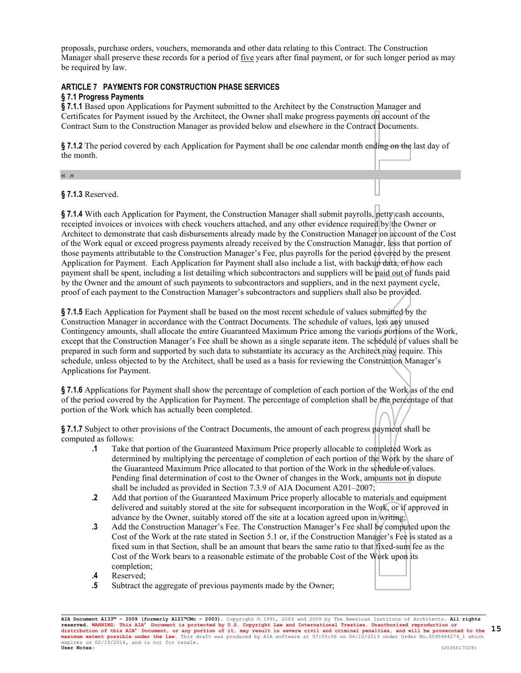proposals, purchase orders, vouchers, memoranda and other data relating to this Contract. The Construction Manager shall preserve these records for a period of five years after final payment, or for such longer period as may be required by law.

# **ARTICLE 7 PAYMENTS FOR CONSTRUCTION PHASE SERVICES § 7.1 Progress Payments**

**§ 7.1.1** Based upon Applications for Payment submitted to the Architect by the Construction Manager and Certificates for Payment issued by the Architect, the Owner shall make progress payments on account of the Contract Sum to the Construction Manager as provided below and elsewhere in the Contract Documents.

**§ 7.1.2** The period covered by each Application for Payment shall be one calendar month ending on the last day of the month.

« »

**§ 7.1.3** Reserved.

**§ 7.1.4** With each Application for Payment, the Construction Manager shall submit payrolls, petty cash accounts, receipted invoices or invoices with check vouchers attached, and any other evidence required by the Owner or Architect to demonstrate that cash disbursements already made by the Construction Manager on account of the Cost of the Work equal or exceed progress payments already received by the Construction Manager, less that portion of those payments attributable to the Construction Manager's Fee, plus payrolls for the period covered by the present Application for Payment. Each Application for Payment shall also include a list, with backup data, of how each payment shall be spent, including a list detailing which subcontractors and suppliers will be paid out of funds paid by the Owner and the amount of such payments to subcontractors and suppliers, and in the next payment cycle, proof of each payment to the Construction Manager's subcontractors and suppliers shall also be provided.

**§ 7.1.5** Each Application for Payment shall be based on the most recent schedule of values submitted by the Construction Manager in accordance with the Contract Documents. The schedule of values, less any unused Contingency amounts, shall allocate the entire Guaranteed Maximum Price among the various portions of the Work, except that the Construction Manager's Fee shall be shown as a single separate item. The schedule of values shall be prepared in such form and supported by such data to substantiate its accuracy as the Architect may require. This schedule, unless objected to by the Architect, shall be used as a basis for reviewing the Construction Manager's Applications for Payment.

**§ 7.1.6** Applications for Payment shall show the percentage of completion of each portion of the Work as of the end of the period covered by the Application for Payment. The percentage of completion shall be the percentage of that portion of the Work which has actually been completed.

**§ 7.1.7** Subject to other provisions of the Contract Documents, the amount of each progress payment shall be computed as follows:

- **.1** Take that portion of the Guaranteed Maximum Price properly allocable to completed Work as determined by multiplying the percentage of completion of each portion of the Work by the share of the Guaranteed Maximum Price allocated to that portion of the Work in the schedule of values. Pending final determination of cost to the Owner of changes in the Work, amounts not in dispute shall be included as provided in Section 7.3.9 of AIA Document A201–2007;
- **.2** Add that portion of the Guaranteed Maximum Price properly allocable to materials and equipment delivered and suitably stored at the site for subsequent incorporation in the Work, or if approved in advance by the Owner, suitably stored off the site at a location agreed upon in writing;
- **.3** Add the Construction Manager's Fee. The Construction Manager's Fee shall be computed upon the Cost of the Work at the rate stated in Section 5.1 or, if the Construction Manager's Fee is stated as a fixed sum in that Section, shall be an amount that bears the same ratio to that fixed-sum fee as the Cost of the Work bears to a reasonable estimate of the probable Cost of the Work upon its completion;
- **.4** Reserved;
- **.5** Subtract the aggregate of previous payments made by the Owner;

**AIA Document A133™ – 2009 (formerly A121™CMc – 2003).** Copyright © 1991, 2003 and 2009 by The American Institute of Architects**. All rights**  reserved. WARNING: This AIA® Document is protected by U.S. Copyright Law and International Treaties. Unauthorized reproduction or<br>distribution of this AIA® Document, or any portion of it, may result in severe civil and cri **User Notes:** (2036617028) **15**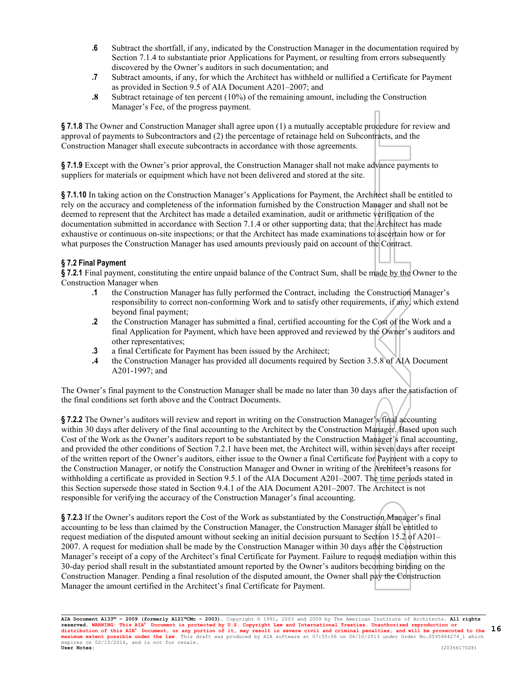- **.6** Subtract the shortfall, if any, indicated by the Construction Manager in the documentation required by Section 7.1.4 to substantiate prior Applications for Payment, or resulting from errors subsequently discovered by the Owner's auditors in such documentation; and
- **.7** Subtract amounts, if any, for which the Architect has withheld or nullified a Certificate for Payment as provided in Section 9.5 of AIA Document A201–2007; and
- **.8** Subtract retainage of ten percent (10%) of the remaining amount, including the Construction Manager's Fee, of the progress payment.

**§ 7.1.8** The Owner and Construction Manager shall agree upon (1) a mutually acceptable procedure for review and approval of payments to Subcontractors and (2) the percentage of retainage held on Subcontracts, and the Construction Manager shall execute subcontracts in accordance with those agreements.

**§ 7.1.9** Except with the Owner's prior approval, the Construction Manager shall not make advance payments to suppliers for materials or equipment which have not been delivered and stored at the site.

**§ 7.1.10** In taking action on the Construction Manager's Applications for Payment, the Architect shall be entitled to rely on the accuracy and completeness of the information furnished by the Construction Manager and shall not be deemed to represent that the Architect has made a detailed examination, audit or arithmetic verification of the documentation submitted in accordance with Section 7.1.4 or other supporting data; that the Architect has made exhaustive or continuous on-site inspections; or that the Architect has made examinations to ascertain how or for what purposes the Construction Manager has used amounts previously paid on account of the Contract.

# **§ 7.2 Final Payment**

**§ 7.2.1** Final payment, constituting the entire unpaid balance of the Contract Sum, shall be made by the Owner to the Construction Manager when

- **.1** the Construction Manager has fully performed the Contract, including the Construction Manager's responsibility to correct non-conforming Work and to satisfy other requirements, if any, which extend beyond final payment;
- **.2** the Construction Manager has submitted a final, certified accounting for the Cost of the Work and a final Application for Payment, which have been approved and reviewed by the Owner's auditors and other representatives;
- **.3** a final Certificate for Payment has been issued by the Architect;
- **.4** the Construction Manager has provided all documents required by Section 3.5.8 of AIA Document A201-1997; and

The Owner's final payment to the Construction Manager shall be made no later than 30 days after the satisfaction of the final conditions set forth above and the Contract Documents.

**§ 7.2.2** The Owner's auditors will review and report in writing on the Construction Manager's final accounting within 30 days after delivery of the final accounting to the Architect by the Construction Manager. Based upon such Cost of the Work as the Owner's auditors report to be substantiated by the Construction Manager's final accounting, and provided the other conditions of Section 7.2.1 have been met, the Architect will, within seven days after receipt of the written report of the Owner's auditors, either issue to the Owner a final Certificate for Payment with a copy to the Construction Manager, or notify the Construction Manager and Owner in writing of the Architect's reasons for withholding a certificate as provided in Section 9.5.1 of the AIA Document A201–2007. The time periods stated in this Section supersede those stated in Section 9.4.1 of the AIA Document A201–2007. The Architect is not responsible for verifying the accuracy of the Construction Manager's final accounting.

**§ 7.2.3** If the Owner's auditors report the Cost of the Work as substantiated by the Construction Manager's final accounting to be less than claimed by the Construction Manager, the Construction Manager shall be entitled to request mediation of the disputed amount without seeking an initial decision pursuant to Section 15.2 of A201– 2007. A request for mediation shall be made by the Construction Manager within 30 days after the Construction Manager's receipt of a copy of the Architect's final Certificate for Payment. Failure to request mediation within this 30-day period shall result in the substantiated amount reported by the Owner's auditors becoming binding on the Construction Manager. Pending a final resolution of the disputed amount, the Owner shall pay the Construction Manager the amount certified in the Architect's final Certificate for Payment.

**AIA Document A133™ – 2009 (formerly A121™CMc – 2003).** Copyright © 1991, 2003 and 2009 by The American Institute of Architects**. All rights**  reserved. WARNING: This AIA® Document is protected by U.S. Copyright Law and International Treaties. Unauthorized reproduction or<br>distribution of this AIA® Document, or any portion of it, may result in severe civil and cri **User Notes:** (2036617028) **16**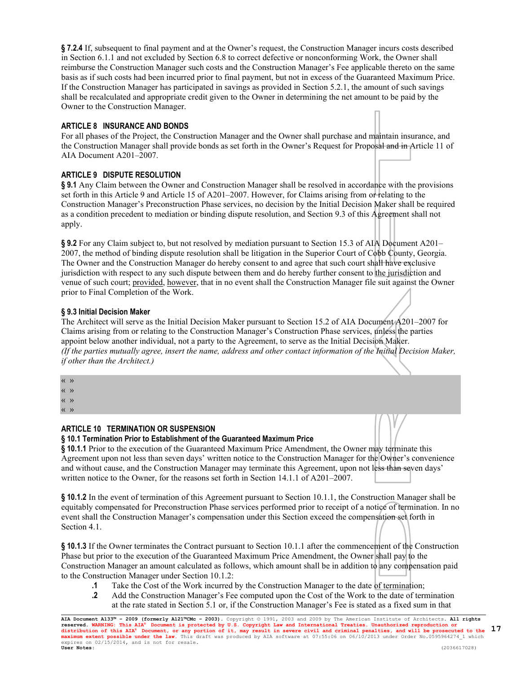**§ 7.2.4** If, subsequent to final payment and at the Owner's request, the Construction Manager incurs costs described in Section 6.1.1 and not excluded by Section 6.8 to correct defective or nonconforming Work, the Owner shall reimburse the Construction Manager such costs and the Construction Manager's Fee applicable thereto on the same basis as if such costs had been incurred prior to final payment, but not in excess of the Guaranteed Maximum Price. If the Construction Manager has participated in savings as provided in Section 5.2.1, the amount of such savings shall be recalculated and appropriate credit given to the Owner in determining the net amount to be paid by the Owner to the Construction Manager.

# **ARTICLE 8 INSURANCE AND BONDS**

For all phases of the Project, the Construction Manager and the Owner shall purchase and maintain insurance, and the Construction Manager shall provide bonds as set forth in the Owner's Request for Proposal and in Article 11 of AIA Document A201–2007.

# **ARTICLE 9 DISPUTE RESOLUTION**

**§ 9.1** Any Claim between the Owner and Construction Manager shall be resolved in accordance with the provisions set forth in this Article 9 and Article 15 of A201–2007. However, for Claims arising from or relating to the Construction Manager's Preconstruction Phase services, no decision by the Initial Decision Maker shall be required as a condition precedent to mediation or binding dispute resolution, and Section 9.3 of this Agreement shall not apply.

**§ 9.2** For any Claim subject to, but not resolved by mediation pursuant to Section 15.3 of AIA Document A201– 2007, the method of binding dispute resolution shall be litigation in the Superior Court of Cobb County, Georgia. The Owner and the Construction Manager do hereby consent to and agree that such court shall have exclusive jurisdiction with respect to any such dispute between them and do hereby further consent to the jurisdiction and venue of such court; provided, however, that in no event shall the Construction Manager file suit against the Owner prior to Final Completion of the Work.

# **§ 9.3 Initial Decision Maker**

The Architect will serve as the Initial Decision Maker pursuant to Section 15.2 of AIA Document A201–2007 for Claims arising from or relating to the Construction Manager's Construction Phase services, unless the parties appoint below another individual, not a party to the Agreement, to serve as the Initial Decision Maker. *(If the parties mutually agree, insert the name, address and other contact information of the Initial Decision Maker, if other than the Architect.)*

- « »
- « »

« »

« »

# **ARTICLE 10 TERMINATION OR SUSPENSION**

# **§ 10.1 Termination Prior to Establishment of the Guaranteed Maximum Price**

**§ 10.1.1** Prior to the execution of the Guaranteed Maximum Price Amendment, the Owner may terminate this Agreement upon not less than seven days' written notice to the Construction Manager for the Owner's convenience and without cause, and the Construction Manager may terminate this Agreement, upon not less than seven days' written notice to the Owner, for the reasons set forth in Section 14.1.1 of A201–2007.

**§ 10.1.2** In the event of termination of this Agreement pursuant to Section 10.1.1, the Construction Manager shall be equitably compensated for Preconstruction Phase services performed prior to receipt of a notice of termination. In no event shall the Construction Manager's compensation under this Section exceed the compensation set forth in Section 4.1.

**§ 10.1.3** If the Owner terminates the Contract pursuant to Section 10.1.1 after the commencement of the Construction Phase but prior to the execution of the Guaranteed Maximum Price Amendment, the Owner shall pay to the Construction Manager an amount calculated as follows, which amount shall be in addition to any compensation paid to the Construction Manager under Section 10.1.2:

- **.1** Take the Cost of the Work incurred by the Construction Manager to the date of termination;
- **.2** Add the Construction Manager's Fee computed upon the Cost of the Work to the date of termination at the rate stated in Section 5.1 or, if the Construction Manager's Fee is stated as a fixed sum in that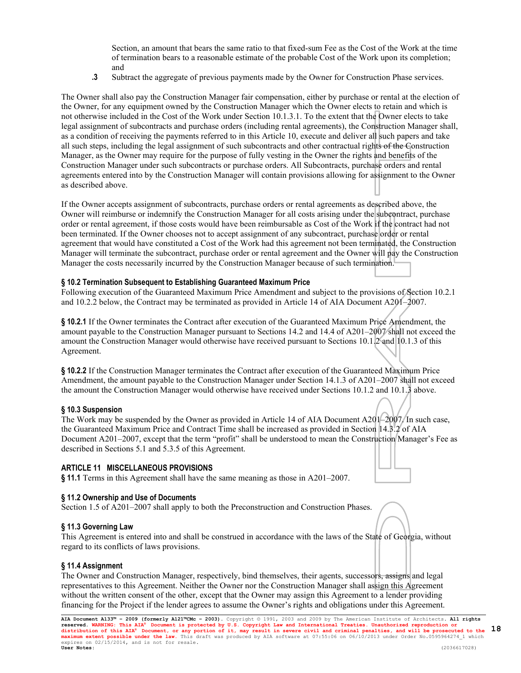Section, an amount that bears the same ratio to that fixed-sum Fee as the Cost of the Work at the time of termination bears to a reasonable estimate of the probable Cost of the Work upon its completion; and

**.3** Subtract the aggregate of previous payments made by the Owner for Construction Phase services.

The Owner shall also pay the Construction Manager fair compensation, either by purchase or rental at the election of the Owner, for any equipment owned by the Construction Manager which the Owner elects to retain and which is not otherwise included in the Cost of the Work under Section 10.1.3.1. To the extent that the Owner elects to take legal assignment of subcontracts and purchase orders (including rental agreements), the Construction Manager shall, as a condition of receiving the payments referred to in this Article 10, execute and deliver all such papers and take all such steps, including the legal assignment of such subcontracts and other contractual rights of the Construction Manager, as the Owner may require for the purpose of fully vesting in the Owner the rights and benefits of the Construction Manager under such subcontracts or purchase orders. All Subcontracts, purchase orders and rental agreements entered into by the Construction Manager will contain provisions allowing for assignment to the Owner as described above.

If the Owner accepts assignment of subcontracts, purchase orders or rental agreements as described above, the Owner will reimburse or indemnify the Construction Manager for all costs arising under the subcontract, purchase order or rental agreement, if those costs would have been reimbursable as Cost of the Work if the contract had not been terminated. If the Owner chooses not to accept assignment of any subcontract, purchase order or rental agreement that would have constituted a Cost of the Work had this agreement not been terminated, the Construction Manager will terminate the subcontract, purchase order or rental agreement and the Owner will pay the Construction Manager the costs necessarily incurred by the Construction Manager because of such termination.

### **§ 10.2 Termination Subsequent to Establishing Guaranteed Maximum Price**

Following execution of the Guaranteed Maximum Price Amendment and subject to the provisions of Section 10.2.1 and 10.2.2 below, the Contract may be terminated as provided in Article 14 of AIA Document A201–2007.

**§ 10.2.1** If the Owner terminates the Contract after execution of the Guaranteed Maximum Price Amendment, the amount payable to the Construction Manager pursuant to Sections 14.2 and 14.4 of A201–2007 shall not exceed the amount the Construction Manager would otherwise have received pursuant to Sections 10.1.2 and 10.1.3 of this Agreement.

**§ 10.2.2** If the Construction Manager terminates the Contract after execution of the Guaranteed Maximum Price Amendment, the amount payable to the Construction Manager under Section 14.1.3 of A201–2007 shall not exceed the amount the Construction Manager would otherwise have received under Sections 10.1.2 and 10.1.3 above.

#### **§ 10.3 Suspension**

The Work may be suspended by the Owner as provided in Article 14 of AIA Document A201–2007/In such case, the Guaranteed Maximum Price and Contract Time shall be increased as provided in Section 14.3.2 of AIA Document A201–2007, except that the term "profit" shall be understood to mean the Construction Manager's Fee as described in Sections 5.1 and 5.3.5 of this Agreement.

#### **ARTICLE 11 MISCELLANEOUS PROVISIONS**

**§ 11.1** Terms in this Agreement shall have the same meaning as those in A201–2007.

#### **§ 11.2 Ownership and Use of Documents**

Section 1.5 of A201–2007 shall apply to both the Preconstruction and Construction Phases.

#### **§ 11.3 Governing Law**

This Agreement is entered into and shall be construed in accordance with the laws of the State of Georgia, without regard to its conflicts of laws provisions.

# **§ 11.4 Assignment**

The Owner and Construction Manager, respectively, bind themselves, their agents, successors, assigns and legal representatives to this Agreement. Neither the Owner nor the Construction Manager shall assign this Agreement without the written consent of the other, except that the Owner may assign this Agreement to a lender providing financing for the Project if the lender agrees to assume the Owner's rights and obligations under this Agreement.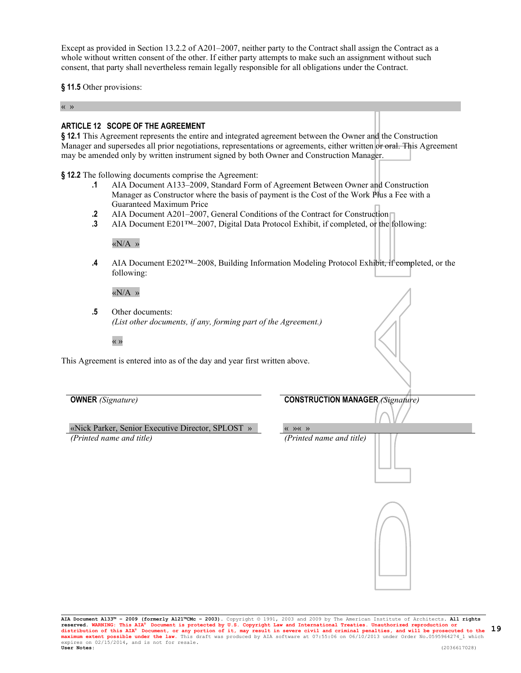Except as provided in Section 13.2.2 of A201–2007, neither party to the Contract shall assign the Contract as a whole without written consent of the other. If either party attempts to make such an assignment without such consent, that party shall nevertheless remain legally responsible for all obligations under the Contract.

**§ 11.5** Other provisions:

« »

# **ARTICLE 12 SCOPE OF THE AGREEMENT**

**§ 12.1** This Agreement represents the entire and integrated agreement between the Owner and the Construction Manager and supersedes all prior negotiations, representations or agreements, either written or oral. This Agreement may be amended only by written instrument signed by both Owner and Construction Manager.

**§ 12.2** The following documents comprise the Agreement:

- **.1** AIA Document A133–2009, Standard Form of Agreement Between Owner and Construction Manager as Constructor where the basis of payment is the Cost of the Work Plus a Fee with a Guaranteed Maximum Price
- **2** AIA Document A201–2007, General Conditions of the Contract for Construction
- **.3** AIA Document E201™–2007, Digital Data Protocol Exhibit, if completed, or the following:

«N/A »

**.4** AIA Document E202™–2008, Building Information Modeling Protocol Exhibit, if completed, or the following:

«N/A »

**.5** Other documents: *(List other documents, if any, forming part of the Agreement.)*

« »

This Agreement is entered into as of the day and year first written above.

«Nick Parker, Senior Executive Director, SPLOST » « »« » *(Printed name and title) (Printed name and title)*

**OWNER** *(Signature)* **CONSTRUCTION MANAGER** *(Signature)*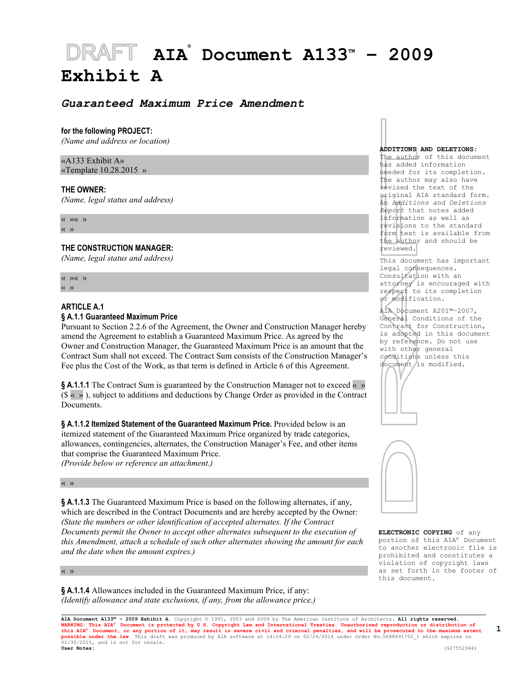# **AIA® Document A133TM – 2009 Exhibit A**

# *Guaranteed Maximum Price Amendment*

#### **for the following PROJECT:**

*(Name and address or location)*

# «A133 Exhibit A» «Template 10.28.2015 »

#### **THE OWNER:**

*(Name, legal status and address)*

« »« »

« »

#### **THE CONSTRUCTION MANAGER:**

*(Name, legal status and address)*

« »« » « »

#### **ARTICLE A.1**

# **§ A.1.1 Guaranteed Maximum Price**

Pursuant to Section 2.2.6 of the Agreement, the Owner and Construction Manager hereby amend the Agreement to establish a Guaranteed Maximum Price. As agreed by the Owner and Construction Manager, the Guaranteed Maximum Price is an amount that the Contract Sum shall not exceed. The Contract Sum consists of the Construction Manager's Fee plus the Cost of the Work, as that term is defined in Article 6 of this Agreement.

**§ A.1.1.1** The Contract Sum is guaranteed by the Construction Manager not to exceed « »  $(\$\times\$)$ , subject to additions and deductions by Change Order as provided in the Contract **Documents** 

**§ A.1.1.2 Itemized Statement of the Guaranteed Maximum Price.** Provided below is an itemized statement of the Guaranteed Maximum Price organized by trade categories, allowances, contingencies, alternates, the Construction Manager's Fee, and other items that comprise the Guaranteed Maximum Price.

*(Provide below or reference an attachment.)*

#### « »

**§ A.1.1.3** The Guaranteed Maximum Price is based on the following alternates, if any, which are described in the Contract Documents and are hereby accepted by the Owner: *(State the numbers or other identification of accepted alternates. If the Contract Documents permit the Owner to accept other alternates subsequent to the execution of this Amendment, attach a schedule of such other alternates showing the amount for each and the date when the amount expires.)*

#### « »

**§ A.1.1.4** Allowances included in the Guaranteed Maximum Price, if any: *(Identify allowance and state exclusions, if any, from the allowance price.)*

#### **ADDITIONS AND DELETIONS:**

The author of this document has added information needed for its completion. The author may also have revised the text of the original AIA standard form. An *Additions and Deletions Report* that notes added information as well as revisions to the standard form text is available from the author and should be reviewed.

This document has important legal consequences. Consultation with an attorney is encouraged with respect to its completion or modification.

AIA Document A201™–2007, General Conditions of the Contract for Construction, is adopted in this document by reference. Do not use with other general conditions unless this document is modified.





**ELECTRONIC COPYING** of any portion of this AIA® Document to another electronic file is prohibited and constitutes a violation of copyright laws as set forth in the footer of this document.

**AIA Document A133™ – 2009 Exhibit A.** Copyright © 1991, 2003 and 2009 by The American Institute of Architects**. All rights reserved.**  WARNING: This AIA® Document is protected by U.S. Copyright Law and International Treaties. Unauthorized reproduction or distribution of<br>this AIA® Document, or any portion of it, may result in severe civil and criminal pena  $01/30/2015$ , and is not for resale.<br>User Notes: **User Notes:** (927552344)